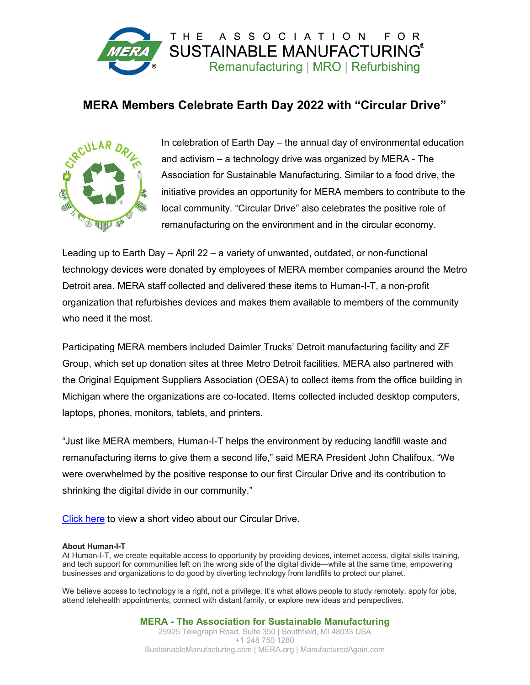

## **MERA Members Celebrate Earth Day 2022 with "Circular Drive"**



In celebration of Earth Day – the annual day of environmental education and activism – a technology drive was organized by MERA - The Association for Sustainable Manufacturing. Similar to a food drive, the initiative provides an opportunity for MERA members to contribute to the local community. "Circular Drive" also celebrates the positive role of remanufacturing on the environment and in the circular economy.

Leading up to Earth Day – April 22 – a variety of unwanted, outdated, or non-functional technology devices were donated by employees of MERA member companies around the Metro Detroit area. MERA staff collected and delivered these items to Human-I-T, a non-profit organization that refurbishes devices and makes them available to members of the community who need it the most.

Participating MERA members included Daimler Trucks' Detroit manufacturing facility and ZF Group, which set up donation sites at three Metro Detroit facilities. MERA also partnered with the Original Equipment Suppliers Association (OESA) to collect items from the office building in Michigan where the organizations are co-located. Items collected included desktop computers, laptops, phones, monitors, tablets, and printers.

"Just like MERA members, Human-I-T helps the environment by reducing landfill waste and remanufacturing items to give them a second life," said MERA President John Chalifoux. "We were overwhelmed by the positive response to our first Circular Drive and its contribution to shrinking the digital divide in our community."

[Click here](https://youtu.be/iu2MbaOuUC0) to view a short video about our Circular Drive.

## **About Human-I-T**

At Human-I-T, we create equitable access to opportunity by providing devices, internet access, digital skills training, and tech support for communities left on the wrong side of the digital divide—while at the same time, empowering businesses and organizations to do good by diverting technology from landfills to protect our planet.

We believe access to technology is a right, not a privilege. It's what allows people to study remotely, apply for jobs, attend telehealth appointments, connect with distant family, or explore new ideas and perspectives.

> **MERA - The Association for Sustainable Manufacturing** 25925 Telegraph Road, Suite 350 | Southfield, MI 48033 USA +1 248 750 1280 SustainableManufacturing.com | MERA.org | ManufacturedAgain.com